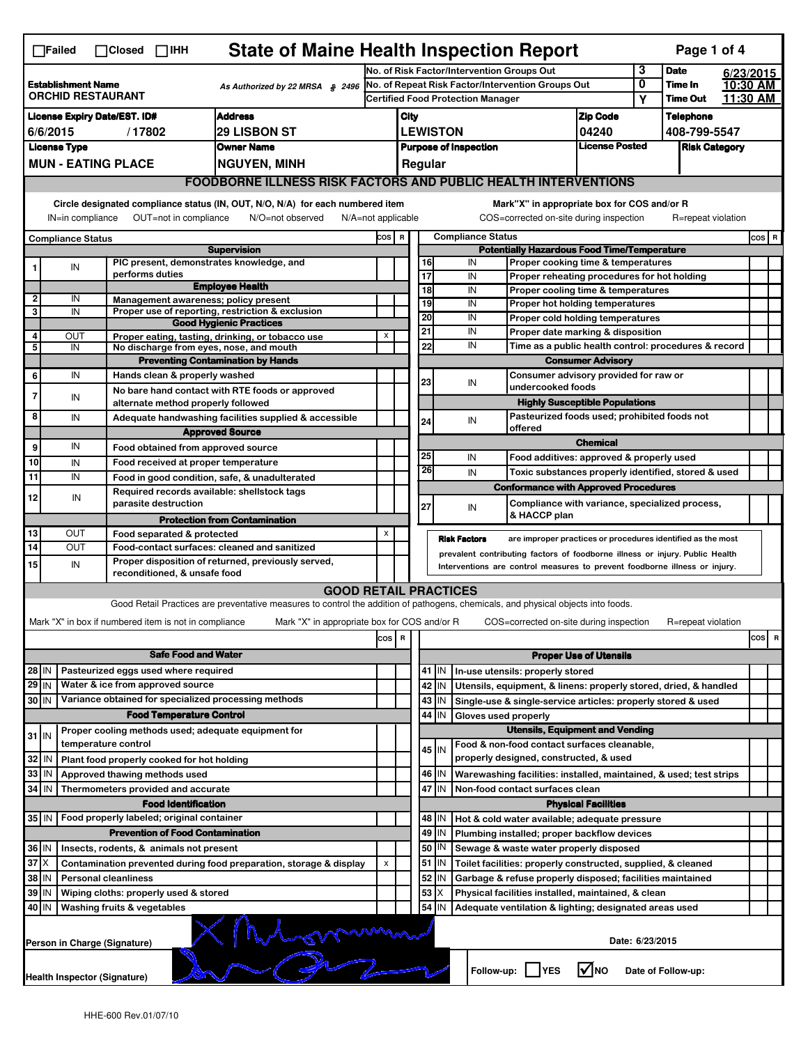| <b>State of Maine Health Inspection Report</b><br>Page 1 of 4<br>$\Box$ Closed $\Box$ IHH<br>$\Box$ Failed                                    |                                                                                                              |                               |                                                                                               |                                                                                                                                   |                                            |                                                                          |                                                                              |                                                    |                          |                                                                                                                                  |                                       |                      |                    |  |                                |  |  |
|-----------------------------------------------------------------------------------------------------------------------------------------------|--------------------------------------------------------------------------------------------------------------|-------------------------------|-----------------------------------------------------------------------------------------------|-----------------------------------------------------------------------------------------------------------------------------------|--------------------------------------------|--------------------------------------------------------------------------|------------------------------------------------------------------------------|----------------------------------------------------|--------------------------|----------------------------------------------------------------------------------------------------------------------------------|---------------------------------------|----------------------|--------------------|--|--------------------------------|--|--|
|                                                                                                                                               |                                                                                                              |                               |                                                                                               |                                                                                                                                   | No. of Risk Factor/Intervention Groups Out |                                                                          |                                                                              |                                                    |                          | 3                                                                                                                                | <b>Date</b>                           |                      | 6/23/2015          |  |                                |  |  |
| <b>Establishment Name</b><br>As Authorized by 22 MRSA § 2496<br><b>ORCHID RESTAURANT</b>                                                      |                                                                                                              |                               | No. of Repeat Risk Factor/Intervention Groups Out<br><b>Certified Food Protection Manager</b> |                                                                                                                                   |                                            |                                                                          |                                                                              |                                                    | 0<br>Y                   | Time In<br><b>Time Out</b>                                                                                                       |                                       | 10:30 AM<br>11.30 AM |                    |  |                                |  |  |
|                                                                                                                                               | <b>Address</b><br><b>License Expiry Date/EST. ID#</b>                                                        |                               |                                                                                               |                                                                                                                                   |                                            | City                                                                     |                                                                              |                                                    |                          |                                                                                                                                  | <b>Zip Code</b>                       |                      | <b>Telephone</b>   |  |                                |  |  |
| <b>29 LISBON ST</b><br>6/6/2015<br>/17802                                                                                                     |                                                                                                              |                               |                                                                                               |                                                                                                                                   |                                            |                                                                          |                                                                              |                                                    |                          |                                                                                                                                  | 04240                                 |                      | 408-799-5547       |  |                                |  |  |
| <b>Owner Name</b><br><b>License Type</b>                                                                                                      |                                                                                                              |                               |                                                                                               |                                                                                                                                   |                                            | <b>LEWISTON</b><br><b>License Posted</b><br><b>Purpose of Inspection</b> |                                                                              |                                                    | <b>Risk Category</b>     |                                                                                                                                  |                                       |                      |                    |  |                                |  |  |
| <b>MUN - EATING PLACE</b><br><b>NGUYEN, MINH</b>                                                                                              |                                                                                                              |                               |                                                                                               |                                                                                                                                   |                                            |                                                                          |                                                                              | Regular                                            |                          |                                                                                                                                  |                                       |                      |                    |  |                                |  |  |
|                                                                                                                                               |                                                                                                              |                               |                                                                                               | <b>FOODBORNE ILLNESS RISK FACTORS AND PUBLIC HEALTH INTERVENTIONS</b>                                                             |                                            |                                                                          |                                                                              |                                                    |                          |                                                                                                                                  |                                       |                      |                    |  |                                |  |  |
|                                                                                                                                               |                                                                                                              |                               |                                                                                               | Circle designated compliance status (IN, OUT, N/O, N/A) for each numbered item                                                    |                                            |                                                                          |                                                                              |                                                    |                          | Mark"X" in appropriate box for COS and/or R                                                                                      |                                       |                      |                    |  |                                |  |  |
|                                                                                                                                               | IN=in compliance                                                                                             |                               | OUT=not in compliance                                                                         | N/O=not observed                                                                                                                  | $N/A = not$ applicable                     |                                                                          |                                                                              |                                                    |                          | COS=corrected on-site during inspection                                                                                          |                                       |                      | R=repeat violation |  |                                |  |  |
|                                                                                                                                               | <b>Compliance Status</b>                                                                                     |                               |                                                                                               |                                                                                                                                   | COS R                                      |                                                                          |                                                                              |                                                    | <b>Compliance Status</b> |                                                                                                                                  |                                       |                      |                    |  | $\cos   R$                     |  |  |
|                                                                                                                                               |                                                                                                              |                               |                                                                                               | <b>Supervision</b>                                                                                                                |                                            |                                                                          |                                                                              |                                                    |                          | <b>Potentially Hazardous Food Time/Temperature</b>                                                                               |                                       |                      |                    |  |                                |  |  |
|                                                                                                                                               | IN                                                                                                           |                               |                                                                                               | PIC present, demonstrates knowledge, and                                                                                          |                                            |                                                                          | 16                                                                           |                                                    | IN                       | Proper cooking time & temperatures                                                                                               |                                       |                      |                    |  |                                |  |  |
|                                                                                                                                               |                                                                                                              | performs duties               |                                                                                               | <b>Employee Health</b>                                                                                                            |                                            |                                                                          | 17<br>18                                                                     |                                                    | IN<br>IN                 | Proper reheating procedures for hot holding<br>Proper cooling time & temperatures                                                |                                       |                      |                    |  |                                |  |  |
| 2                                                                                                                                             | IN                                                                                                           |                               |                                                                                               | Management awareness; policy present                                                                                              |                                            |                                                                          | 19                                                                           |                                                    | IN                       | <b>Proper hot holding temperatures</b>                                                                                           |                                       |                      |                    |  |                                |  |  |
| 3                                                                                                                                             | IN                                                                                                           |                               |                                                                                               | Proper use of reporting, restriction & exclusion<br><b>Good Hygienic Practices</b>                                                |                                            |                                                                          | 20                                                                           |                                                    | IN                       | Proper cold holding temperatures                                                                                                 |                                       |                      |                    |  |                                |  |  |
| 4                                                                                                                                             | ΟUΤ                                                                                                          |                               |                                                                                               | Proper eating, tasting, drinking, or tobacco use                                                                                  | X                                          |                                                                          | 21                                                                           |                                                    | IN                       | Proper date marking & disposition                                                                                                |                                       |                      |                    |  |                                |  |  |
| 5                                                                                                                                             | IN                                                                                                           |                               |                                                                                               | No discharge from eyes, nose, and mouth                                                                                           |                                            |                                                                          | 22                                                                           |                                                    | IN                       | Time as a public health control: procedures & record                                                                             |                                       |                      |                    |  |                                |  |  |
|                                                                                                                                               | IN                                                                                                           |                               |                                                                                               | <b>Preventing Contamination by Hands</b>                                                                                          |                                            |                                                                          |                                                                              |                                                    |                          | <b>Consumer Advisory</b><br>Consumer advisory provided for raw or                                                                |                                       |                      |                    |  |                                |  |  |
| 6                                                                                                                                             |                                                                                                              |                               | Hands clean & properly washed                                                                 | No bare hand contact with RTE foods or approved                                                                                   |                                            |                                                                          | 23                                                                           |                                                    | IN                       | undercooked foods                                                                                                                |                                       |                      |                    |  |                                |  |  |
| 7                                                                                                                                             | IN                                                                                                           |                               | alternate method properly followed                                                            |                                                                                                                                   |                                            |                                                                          |                                                                              |                                                    |                          |                                                                                                                                  | <b>Highly Susceptible Populations</b> |                      |                    |  |                                |  |  |
| 8                                                                                                                                             | IN                                                                                                           |                               |                                                                                               | Adequate handwashing facilities supplied & accessible                                                                             |                                            |                                                                          | 24                                                                           |                                                    | IN                       | Pasteurized foods used; prohibited foods not                                                                                     |                                       |                      |                    |  |                                |  |  |
|                                                                                                                                               |                                                                                                              |                               |                                                                                               | <b>Approved Source</b>                                                                                                            |                                            |                                                                          |                                                                              | offered                                            |                          |                                                                                                                                  |                                       |                      |                    |  |                                |  |  |
| 9                                                                                                                                             | IN                                                                                                           |                               | Food obtained from approved source                                                            |                                                                                                                                   |                                            |                                                                          | 25                                                                           |                                                    | IN                       | Food additives: approved & properly used                                                                                         | <b>Chemical</b>                       |                      |                    |  |                                |  |  |
| 10                                                                                                                                            | IN                                                                                                           |                               | Food received at proper temperature                                                           |                                                                                                                                   |                                            |                                                                          | 26                                                                           |                                                    | IN                       | Toxic substances properly identified, stored & used                                                                              |                                       |                      |                    |  |                                |  |  |
| 11                                                                                                                                            | IN                                                                                                           |                               |                                                                                               | Food in good condition, safe, & unadulterated<br>Required records available: shellstock tags                                      |                                            |                                                                          |                                                                              |                                                    |                          | <b>Conformance with Approved Procedures</b>                                                                                      |                                       |                      |                    |  |                                |  |  |
| 12                                                                                                                                            | IN                                                                                                           |                               | parasite destruction                                                                          |                                                                                                                                   |                                            |                                                                          | 27                                                                           |                                                    | IN                       | Compliance with variance, specialized process,                                                                                   |                                       |                      |                    |  |                                |  |  |
|                                                                                                                                               |                                                                                                              |                               |                                                                                               | <b>Protection from Contamination</b>                                                                                              |                                            |                                                                          |                                                                              |                                                    |                          | & HACCP plan                                                                                                                     |                                       |                      |                    |  |                                |  |  |
| 13                                                                                                                                            | OUT                                                                                                          |                               | Food separated & protected                                                                    |                                                                                                                                   | X                                          |                                                                          |                                                                              |                                                    | <b>Risk Factors</b>      | are improper practices or procedures identified as the most                                                                      |                                       |                      |                    |  |                                |  |  |
| 14                                                                                                                                            | <b>OUT</b>                                                                                                   |                               |                                                                                               | Food-contact surfaces: cleaned and sanitized<br>Proper disposition of returned, previously served,                                |                                            |                                                                          | prevalent contributing factors of foodborne illness or injury. Public Health |                                                    |                          |                                                                                                                                  |                                       |                      |                    |  |                                |  |  |
| 15                                                                                                                                            | IN                                                                                                           |                               | reconditioned, & unsafe food                                                                  |                                                                                                                                   |                                            |                                                                          |                                                                              |                                                    |                          | Interventions are control measures to prevent foodborne illness or injury.                                                       |                                       |                      |                    |  |                                |  |  |
|                                                                                                                                               |                                                                                                              |                               |                                                                                               | <b>GOOD RETAIL PRACTICES</b>                                                                                                      |                                            |                                                                          |                                                                              |                                                    |                          |                                                                                                                                  |                                       |                      |                    |  |                                |  |  |
|                                                                                                                                               |                                                                                                              |                               |                                                                                               | Good Retail Practices are preventative measures to control the addition of pathogens, chemicals, and physical objects into foods. |                                            |                                                                          |                                                                              |                                                    |                          |                                                                                                                                  |                                       |                      |                    |  |                                |  |  |
|                                                                                                                                               |                                                                                                              |                               | Mark "X" in box if numbered item is not in compliance                                         | Mark "X" in appropriate box for COS and/or R                                                                                      |                                            |                                                                          |                                                                              |                                                    |                          | COS=corrected on-site during inspection                                                                                          |                                       |                      | R=repeat violation |  |                                |  |  |
|                                                                                                                                               |                                                                                                              |                               |                                                                                               |                                                                                                                                   | cos                                        | R                                                                        |                                                                              |                                                    |                          |                                                                                                                                  |                                       |                      |                    |  | cos<br>$\overline{\mathbf{R}}$ |  |  |
|                                                                                                                                               |                                                                                                              |                               | <b>Safe Food and Water</b>                                                                    |                                                                                                                                   |                                            |                                                                          |                                                                              |                                                    |                          |                                                                                                                                  | <b>Proper Use of Utensils</b>         |                      |                    |  |                                |  |  |
|                                                                                                                                               | Pasteurized eggs used where required<br>28 IN                                                                |                               |                                                                                               |                                                                                                                                   |                                            |                                                                          |                                                                              | 41 J IN                                            |                          | In-use utensils: properly stored                                                                                                 |                                       |                      |                    |  |                                |  |  |
| 29 IN<br>30 IN                                                                                                                                |                                                                                                              |                               | Water & ice from approved source                                                              | Variance obtained for specialized processing methods                                                                              |                                            |                                                                          |                                                                              | 42<br>IN<br>43<br>IN                               |                          | Utensils, equipment, & linens: properly stored, dried, & handled<br>Single-use & single-service articles: properly stored & used |                                       |                      |                    |  |                                |  |  |
|                                                                                                                                               |                                                                                                              |                               | <b>Food Temperature Control</b>                                                               |                                                                                                                                   |                                            |                                                                          |                                                                              | IN<br>44                                           | Gloves used properly     |                                                                                                                                  |                                       |                      |                    |  |                                |  |  |
|                                                                                                                                               |                                                                                                              |                               |                                                                                               | Proper cooling methods used; adequate equipment for                                                                               |                                            |                                                                          |                                                                              |                                                    |                          | <b>Utensils, Equipment and Vending</b>                                                                                           |                                       |                      |                    |  |                                |  |  |
| $31$ M                                                                                                                                        |                                                                                                              | temperature control           |                                                                                               |                                                                                                                                   |                                            |                                                                          |                                                                              | 45 M                                               |                          | Food & non-food contact surfaces cleanable,                                                                                      |                                       |                      |                    |  |                                |  |  |
| 32                                                                                                                                            | l IN                                                                                                         |                               | Plant food properly cooked for hot holding                                                    |                                                                                                                                   |                                            |                                                                          |                                                                              |                                                    |                          | properly designed, constructed, & used                                                                                           |                                       |                      |                    |  |                                |  |  |
| 33                                                                                                                                            | IN                                                                                                           | Approved thawing methods used |                                                                                               |                                                                                                                                   |                                            |                                                                          |                                                                              | 46<br>IN                                           |                          | Warewashing facilities: installed, maintained, & used; test strips                                                               |                                       |                      |                    |  |                                |  |  |
| 34 IN                                                                                                                                         |                                                                                                              |                               | Thermometers provided and accurate                                                            |                                                                                                                                   |                                            |                                                                          | 47<br>IN<br>Non-food contact surfaces clean<br><b>Physical Facilities</b>    |                                                    |                          |                                                                                                                                  |                                       |                      |                    |  |                                |  |  |
| <b>Food Identification</b><br>35 IN<br>Food properly labeled; original container<br>48<br>IN<br>Hot & cold water available; adequate pressure |                                                                                                              |                               |                                                                                               |                                                                                                                                   |                                            |                                                                          |                                                                              |                                                    |                          |                                                                                                                                  |                                       |                      |                    |  |                                |  |  |
| <b>Prevention of Food Contamination</b>                                                                                                       |                                                                                                              |                               |                                                                                               |                                                                                                                                   |                                            |                                                                          |                                                                              | 49<br>IN                                           |                          | Plumbing installed; proper backflow devices                                                                                      |                                       |                      |                    |  |                                |  |  |
| 36 IN<br>Insects, rodents, & animals not present                                                                                              |                                                                                                              |                               |                                                                                               |                                                                                                                                   |                                            |                                                                          |                                                                              | 50<br>IN<br>Sewage & waste water properly disposed |                          |                                                                                                                                  |                                       |                      |                    |  |                                |  |  |
| $37$ $\times$<br>Contamination prevented during food preparation, storage & display                                                           |                                                                                                              |                               |                                                                                               |                                                                                                                                   | X                                          |                                                                          |                                                                              | $51$ $\vert$ IN                                    |                          | Toilet facilities: properly constructed, supplied, & cleaned                                                                     |                                       |                      |                    |  |                                |  |  |
| 38 IN<br><b>Personal cleanliness</b>                                                                                                          |                                                                                                              |                               |                                                                                               |                                                                                                                                   |                                            |                                                                          |                                                                              | 52<br>IN                                           |                          | Garbage & refuse properly disposed; facilities maintained                                                                        |                                       |                      |                    |  |                                |  |  |
| 39 IN<br>Wiping cloths: properly used & stored                                                                                                |                                                                                                              |                               |                                                                                               |                                                                                                                                   |                                            |                                                                          | 53                                                                           |                                                    |                          | Physical facilities installed, maintained, & clean                                                                               |                                       |                      |                    |  |                                |  |  |
|                                                                                                                                               | 54<br>40   IN<br>Washing fruits & vegetables<br>IN<br>Adequate ventilation & lighting; designated areas used |                               |                                                                                               |                                                                                                                                   |                                            |                                                                          |                                                                              |                                                    |                          |                                                                                                                                  |                                       |                      |                    |  |                                |  |  |
|                                                                                                                                               | Date: 6/23/2015<br>Person in Charge (Signature)                                                              |                               |                                                                                               |                                                                                                                                   |                                            |                                                                          |                                                                              |                                                    |                          |                                                                                                                                  |                                       |                      |                    |  |                                |  |  |
|                                                                                                                                               |                                                                                                              |                               |                                                                                               |                                                                                                                                   |                                            |                                                                          |                                                                              |                                                    |                          | l√lno<br>Follow-up:     YES<br>Date of Follow-up:<br><b>Health Inspector (Signature)</b>                                         |                                       |                      |                    |  |                                |  |  |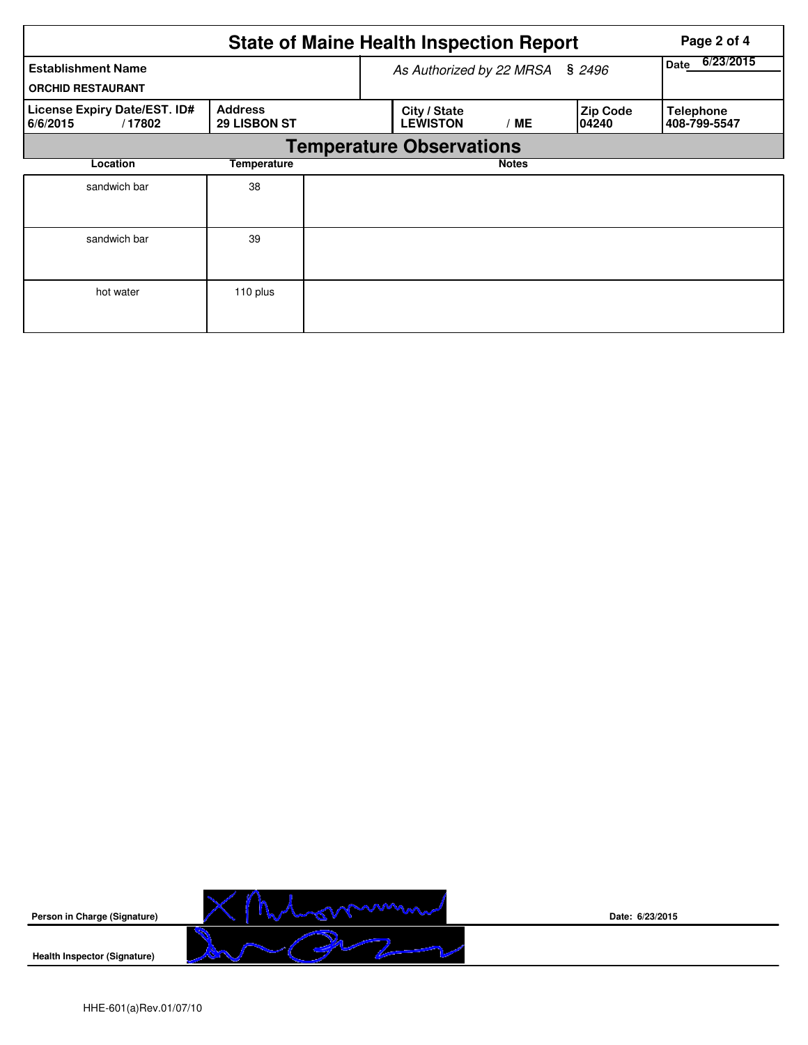| <b>State of Maine Health Inspection Report</b>        |                                       |  |                                 |                   |                           |                                  |  |  |  |
|-------------------------------------------------------|---------------------------------------|--|---------------------------------|-------------------|---------------------------|----------------------------------|--|--|--|
| <b>Establishment Name</b><br><b>ORCHID RESTAURANT</b> |                                       |  | As Authorized by 22 MRSA        | 6/23/2015<br>Date |                           |                                  |  |  |  |
| License Expiry Date/EST. ID#<br>6/6/2015<br>/17802    | <b>Address</b><br><b>29 LISBON ST</b> |  | City / State<br><b>LEWISTON</b> | / ME              | <b>Zip Code</b><br>104240 | <b>Telephone</b><br>408-799-5547 |  |  |  |
| <b>Temperature Observations</b>                       |                                       |  |                                 |                   |                           |                                  |  |  |  |
| Location                                              | Temperature                           |  |                                 | <b>Notes</b>      |                           |                                  |  |  |  |
| sandwich bar                                          | 38                                    |  |                                 |                   |                           |                                  |  |  |  |
| sandwich bar                                          | 39                                    |  |                                 |                   |                           |                                  |  |  |  |
| hot water                                             | 110 plus                              |  |                                 |                   |                           |                                  |  |  |  |



**Date: 6/23/2015**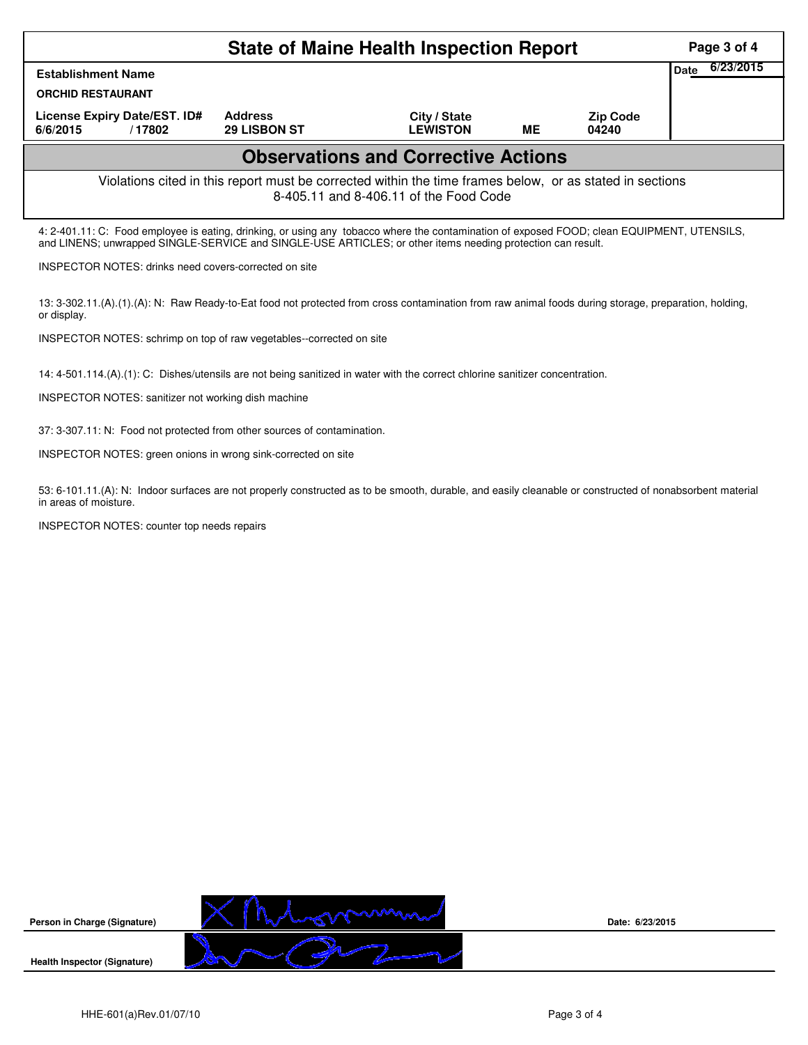|                                                                                                                                                                                                                                                            | Page 3 of 4       |                                       |                                 |    |                          |  |  |  |
|------------------------------------------------------------------------------------------------------------------------------------------------------------------------------------------------------------------------------------------------------------|-------------------|---------------------------------------|---------------------------------|----|--------------------------|--|--|--|
| <b>Establishment Name</b>                                                                                                                                                                                                                                  | 6/23/2015<br>Date |                                       |                                 |    |                          |  |  |  |
| <b>ORCHID RESTAURANT</b>                                                                                                                                                                                                                                   |                   |                                       |                                 |    |                          |  |  |  |
| License Expiry Date/EST. ID#<br>6/6/2015                                                                                                                                                                                                                   | /17802            | <b>Address</b><br><b>29 LISBON ST</b> | City / State<br><b>LEWISTON</b> | ME | <b>Zip Code</b><br>04240 |  |  |  |
| <b>Observations and Corrective Actions</b>                                                                                                                                                                                                                 |                   |                                       |                                 |    |                          |  |  |  |
| Violations cited in this report must be corrected within the time frames below, or as stated in sections<br>8-405.11 and 8-406.11 of the Food Code                                                                                                         |                   |                                       |                                 |    |                          |  |  |  |
| 4: 2-401.11: C: Food employee is eating, drinking, or using any tobacco where the contamination of exposed FOOD; clean EQUIPMENT, UTENSILS,<br>and LINENS; unwrapped SINGLE-SERVICE and SINGLE-USE ARTICLES; or other items needing protection can result. |                   |                                       |                                 |    |                          |  |  |  |
| <b>INSPECTOR NOTES:</b> drinks need covers-corrected on site                                                                                                                                                                                               |                   |                                       |                                 |    |                          |  |  |  |
| 13: 3-302.11.(A).(1).(A): N: Raw Ready-to-Eat food not protected from cross contamination from raw animal foods during storage, preparation, holding,<br>or display.                                                                                       |                   |                                       |                                 |    |                          |  |  |  |
| INSPECTOR NOTES: schrimp on top of raw vegetables--corrected on site                                                                                                                                                                                       |                   |                                       |                                 |    |                          |  |  |  |

14: 4-501.114.(A).(1): C: Dishes/utensils are not being sanitized in water with the correct chlorine sanitizer concentration.

INSPECTOR NOTES: sanitizer not working dish machine

37: 3-307.11: N: Food not protected from other sources of contamination.

INSPECTOR NOTES: green onions in wrong sink-corrected on site

53: 6-101.11.(A): N: Indoor surfaces are not properly constructed as to be smooth, durable, and easily cleanable or constructed of nonabsorbent material in areas of moisture.

INSPECTOR NOTES: counter top needs repairs



**Date: 6/23/2015**